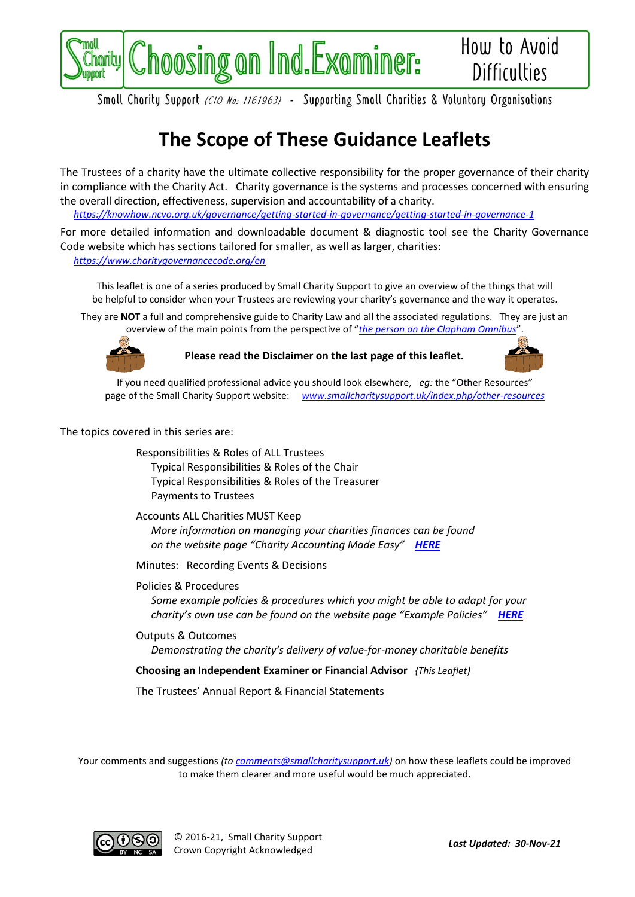

Smoll Chority Support (CIO No: 1161963) - Supporting Smoll Chorities & Voluntory Organisations

## **The Scope of These Guidance Leaflets**

The Trustees of a charity have the ultimate collective responsibility for the proper governance of their charity in compliance with the Charity Act. Charity governance is the systems and processes concerned with ensuring the overall direction, effectiveness, supervision and accountability of a charity.

*<https://knowhow.ncvo.org.uk/governance/getting-started-in-governance/getting-started-in-governance-1>*

For more detailed information and downloadable document & diagnostic tool see the Charity Governance Code website which has sections tailored for smaller, as well as larger, charities: *<https://www.charitygovernancecode.org/en>*

This leaflet is one of a series produced by Small Charity Support to give an overview of the things that will be helpful to consider when your Trustees are reviewing your charity's governance and the way it operates.

They are **NOT** a full and comprehensive guide to Charity Law and all the associated regulations. They are just an overview of the main points from the perspective of "*[the person on the Clapham Omnibus](https://en.wikipedia.org/wiki/The_man_on_the_Clapham_omnibus)*".



**Please read the Disclaimer on the last page of this leaflet.**



If you need qualified professional advice you should look elsewhere, *eg:* the "Other Resources" page of the Small Charity Support website: *[www.smallcharitysupport.uk/index.php/other-resources](http://www.smallcharitysupport.uk/index.php/other-resources)*

The topics covered in this series are:

Responsibilities & Roles of ALL Trustees Typical Responsibilities & Roles of the Chair Typical Responsibilities & Roles of the Treasurer Payments to Trustees

Accounts ALL Charities MUST Keep *More information on managing your charities finances can be found on the website page "Charity Accounting Made Easy" [HERE](https://www.smallcharitysupport.uk/index.php/accountsmadeeasy)*

Minutes: Recording Events & Decisions

Policies & Procedures *Some example policies & procedures which you might be able to adapt for your charity's own use can be found on the website page "Example Policies" [HERE](https://www.smallcharitysupport.uk/index.php/example-policies)*

Outputs & Outcomes *Demonstrating the charity's delivery of value-for-money charitable benefits*

**Choosing an Independent Examiner or Financial Advisor** *{This Leaflet}*

The Trustees' Annual Report & Financial Statements

Your comments and suggestions *(to [comments@smallcharitysupport.uk\)](mailto:comments@smallcharitysupport.uk)* on how these leaflets could be improved to make them clearer and more useful would be much appreciated.



© 2016-21, Small Charity Support Crown Copyright Acknowledged *Last Updated: 30-Nov-21*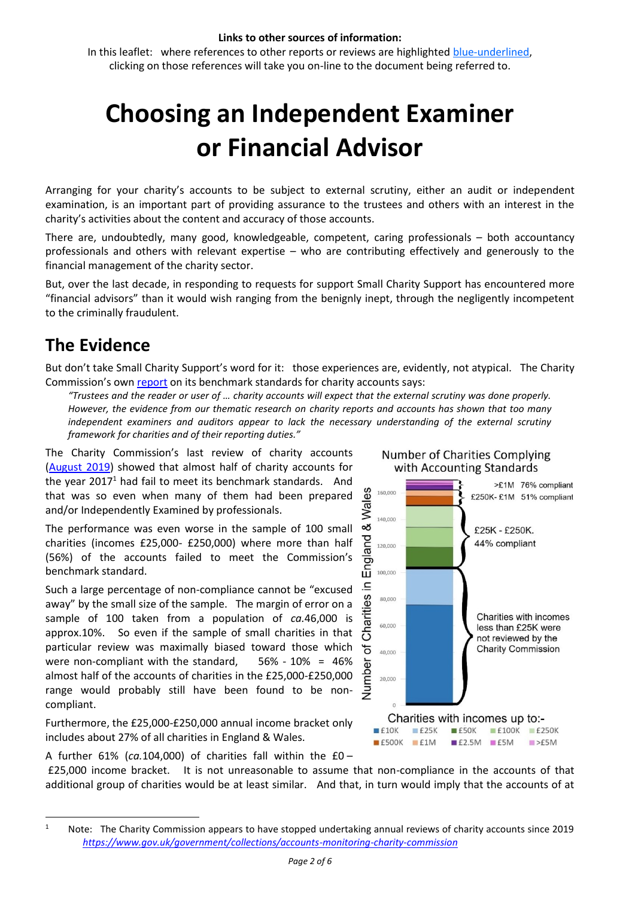#### **Links to other sources of information:**

In this leaflet: where references to other reports or reviews are highlighted blue-underlined, clicking on those references will take you on-line to the document being referred to.

# **Choosing an Independent Examiner or Financial Advisor**

Arranging for your charity's accounts to be subject to external scrutiny, either an audit or independent examination, is an important part of providing assurance to the trustees and others with an interest in the charity's activities about the content and accuracy of those accounts.

There are, undoubtedly, many good, knowledgeable, competent, caring professionals – both accountancy professionals and others with relevant expertise – who are contributing effectively and generously to the financial management of the charity sector.

But, over the last decade, in responding to requests for support Small Charity Support has encountered more "financial advisors" than it would wish ranging from the benignly inept, through the negligently incompetent to the criminally fraudulent.

### **The Evidence**

But don't take Small Charity Support's word for it: those experiences are, evidently, not atypical. The Charity Commission's ow[n report](https://www.gov.uk/government/publications/a-benchmark-for-the-external-scrutiny-of-charity-accounts/a-benchmark-for-the-external-scrutiny-of-charity-accounts) on its benchmark standards for charity accounts says:

*"Trustees and the reader or user of … charity accounts will expect that the external scrutiny was done properly. However, the evidence from our thematic research on charity reports and accounts has shown that too many independent examiners and auditors appear to lack the necessary understanding of the external scrutiny framework for charities and of their reporting duties."*

The Charity Commission's last review of charity accounts [\(August](https://www.gov.uk/government/publications/accounts-monitoring-review-auditors-and-independent-examiners-compliance-with-their-responsibilities/auditors-and-independent-examiners-compliance-with-their-responsibilities) 2019) showed that almost half of charity accounts for the year  $2017<sup>1</sup>$  had fail to meet its benchmark standards. And that was so even when many of them had been prepared and/or Independently Examined by professionals.

The performance was even worse in the sample of 100 small charities (incomes £25,000- £250,000) where more than half (56%) of the accounts failed to meet the Commission's benchmark standard.

Such a large percentage of non-compliance cannot be "excused away" by the small size of the sample. The margin of error on a sample of 100 taken from a population of *ca.*46,000 is approx.10%. So even if the sample of small charities in that particular review was maximally biased toward those which were non-compliant with the standard, 56% - 10% = 46% almost half of the accounts of charities in the £25,000-£250,000 range would probably still have been found to be noncompliant.

Furthermore, the £25,000-£250,000 annual income bracket only includes about 27% of all charities in England & Wales.

A further 61% (*ca.*104,000) of charities fall within the £0 –

£25,000 income bracket. It is not unreasonable to assume that non-compliance in the accounts of that additional group of charities would be at least similar. And that, in turn would imply that the accounts of at



**Number of Charities Complying** 

<sup>&</sup>lt;sup>1</sup> Note: The Charity Commission appears to have stopped undertaking annual reviews of charity accounts since 2019  *<https://www.gov.uk/government/collections/accounts-monitoring-charity-commission>*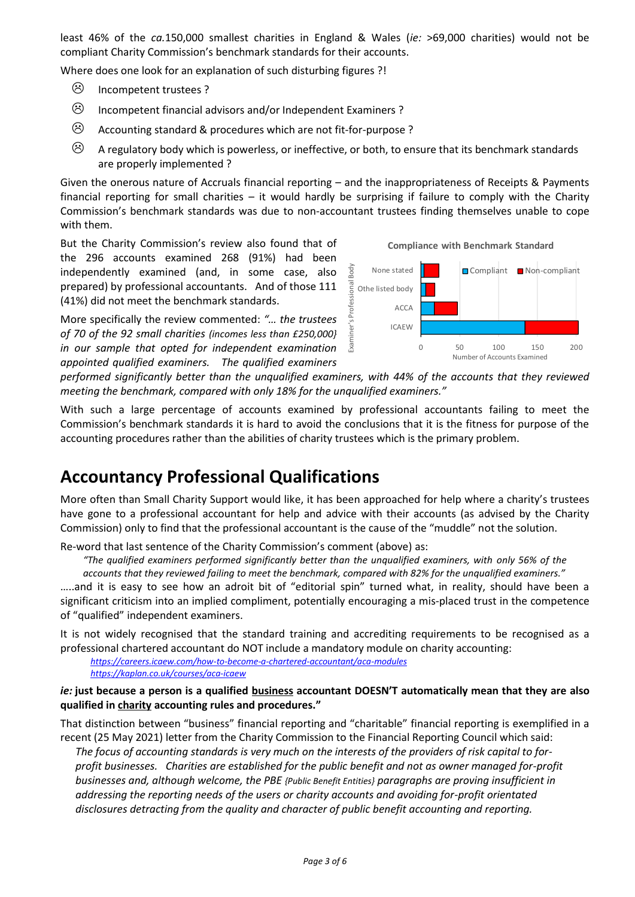least 46% of the *ca.*150,000 smallest charities in England & Wales (*ie:* >69,000 charities) would not be compliant Charity Commission's benchmark standards for their accounts.

Where does one look for an explanation of such disturbing figures ?!

- $\odot$  Incompetent trustees ?
- $\Theta$  Incompetent financial advisors and/or Independent Examiners ?
- $\odot$  Accounting standard & procedures which are not fit-for-purpose ?
- $\odot$  A regulatory body which is powerless, or ineffective, or both, to ensure that its benchmark standards are properly implemented ?

Given the onerous nature of Accruals financial reporting – and the inappropriateness of Receipts & Payments financial reporting for small charities – it would hardly be surprising if failure to comply with the Charity Commission's benchmark standards was due to non-accountant trustees finding themselves unable to cope with them.

But the Charity Commission's review also found that of the 296 accounts examined 268 (91%) had been independently examined (and, in some case, also prepared) by professional accountants. And of those 111 (41%) did not meet the benchmark standards.

More specifically the review commented: *"… the trustees of 70 of the 92 small charities (incomes less than £250,000} in our sample that opted for independent examination appointed qualified examiners. The qualified examiners* 



*performed significantly better than the unqualified examiners, with 44% of the accounts that they reviewed meeting the benchmark, compared with only 18% for the unqualified examiners."*

With such a large percentage of accounts examined by professional accountants failing to meet the Commission's benchmark standards it is hard to avoid the conclusions that it is the fitness for purpose of the accounting procedures rather than the abilities of charity trustees which is the primary problem.

#### **Accountancy Professional Qualifications**

More often than Small Charity Support would like, it has been approached for help where a charity's trustees have gone to a professional accountant for help and advice with their accounts (as advised by the Charity Commission) only to find that the professional accountant is the cause of the "muddle" not the solution.

Re-word that last sentence of the Charity Commission's comment (above) as:

*"The qualified examiners performed significantly better than the unqualified examiners, with only 56% of the accounts that they reviewed failing to meet the benchmark, compared with 82% for the unqualified examiners."*

…..and it is easy to see how an adroit bit of "editorial spin" turned what, in reality, should have been a significant criticism into an implied compliment, potentially encouraging a mis-placed trust in the competence of "qualified" independent examiners.

It is not widely recognised that the standard training and accrediting requirements to be recognised as a professional chartered accountant do NOT include a mandatory module on charity accounting:

*<https://careers.icaew.com/how-to-become-a-chartered-accountant/aca-modules> <https://kaplan.co.uk/courses/aca-icaew>*

*ie:* **just because a person is a qualified business accountant DOESN'T automatically mean that they are also qualified in charity accounting rules and procedures."**

That distinction between "business" financial reporting and "charitable" financial reporting is exemplified in a recent (25 May 2021) letter from the Charity Commission to the Financial Reporting Council which said:

*The focus of accounting standards is very much on the interests of the providers of risk capital to forprofit businesses. Charities are established for the public benefit and not as owner managed for-profit businesses and, although welcome, the PBE {Public Benefit Entities} paragraphs are proving insufficient in addressing the reporting needs of the users or charity accounts and avoiding for-profit orientated disclosures detracting from the quality and character of public benefit accounting and reporting.*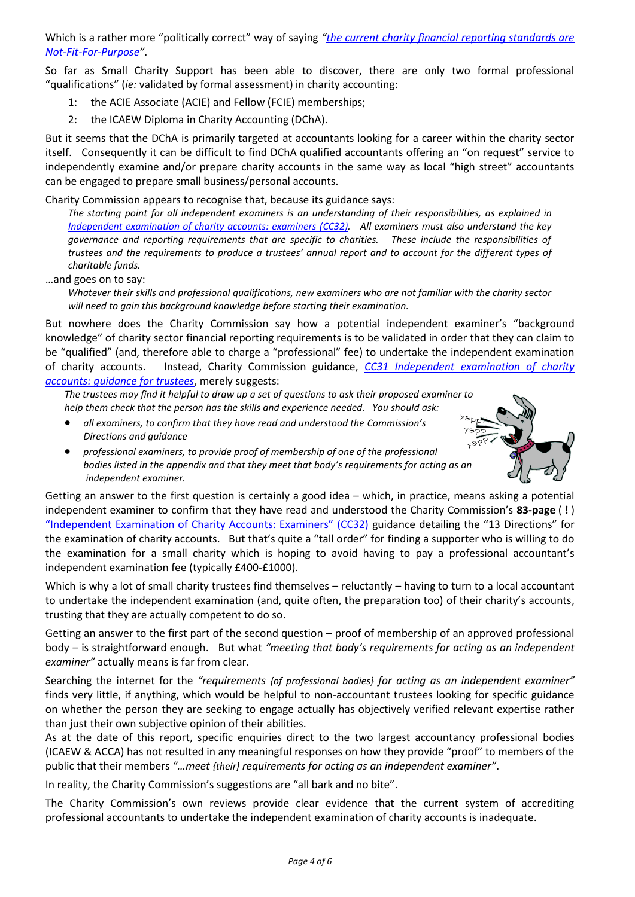Which is a rather more "politically correct" way of saying *"[the current charity financial reporting standards are](https://www.smallcharitysupport.uk/index.php/charity-thoughts/12-about-small-charity-support/27-fit-for-purpose)  [Not-Fit-For-Purpose](https://www.smallcharitysupport.uk/index.php/charity-thoughts/12-about-small-charity-support/27-fit-for-purpose)"*.

So far as Small Charity Support has been able to discover, there are only two formal professional "qualifications" (*ie:* validated by formal assessment) in charity accounting:

- 1: the ACIE Associate (ACIE) and Fellow (FCIE) memberships;
- 2: the ICAEW Diploma in Charity Accounting (DChA).

But it seems that the DChA is primarily targeted at accountants looking for a career within the charity sector itself. Consequently it can be difficult to find DChA qualified accountants offering an "on request" service to independently examine and/or prepare charity accounts in the same way as local "high street" accountants can be engaged to prepare small business/personal accounts.

Charity Commission appears to recognise that, because its guidance says:

*The starting point for all independent examiners is an understanding of their responsibilities, as explained in [Independent examination of charity accounts: examiners \(CC32\).](https://www.gov.uk/government/publications/independent-examination-of-charity-accounts-examiners-cc32) All examiners must also understand the key governance and reporting requirements that are specific to charities. These include the responsibilities of trustees and the requirements to produce a trustees' annual report and to account for the different types of charitable funds.*

…and goes on to say:

*Whatever their skills and professional qualifications, new examiners who are not familiar with the charity sector will need to gain this background knowledge before starting their examination.*

But nowhere does the Charity Commission say how a potential independent examiner's "background knowledge" of charity sector financial reporting requirements is to be validated in order that they can claim to be "qualified" (and, therefore able to charge a "professional" fee) to undertake the independent examination of charity accounts. Instead, Charity Commission guidance, *[CC31 Independent examination of charity](https://www.gov.uk/government/publications/independent-examination-of-charity-accounts-trustees-cc31/independent-examination-of-charity-accounts-trustees)  [accounts: guidance for trustees](https://www.gov.uk/government/publications/independent-examination-of-charity-accounts-trustees-cc31/independent-examination-of-charity-accounts-trustees)*, merely suggests:

*The trustees may find it helpful to draw up a set of questions to ask their proposed examiner to help them check that the person has the skills and experience needed. You should ask:*

- *all examiners, to confirm that they have read and understood the Commission's Directions and guidance*
	- *professional examiners, to provide proof of membership of one of the professional bodies listed in the appendix and that they meet that body's requirements for acting as an independent examiner.*



Getting an answer to the first question is certainly a good idea – which, in practice, means asking a potential independent examiner to confirm that they have read and understood the Charity Commission's **83-page** ( **!** ) ["Independent Examination of Charity Accounts: Examiners" \(CC32\)](https://www.gov.uk/government/publications/independent-examination-of-charity-accounts-trustees-cc31/independent-examination-of-charity-accounts-trustees) guidance detailing the "13 Directions" for the examination of charity accounts. But that's quite a "tall order" for finding a supporter who is willing to do the examination for a small charity which is hoping to avoid having to pay a professional accountant's independent examination fee (typically £400-£1000).

Which is why a lot of small charity trustees find themselves – reluctantly – having to turn to a local accountant to undertake the independent examination (and, quite often, the preparation too) of their charity's accounts, trusting that they are actually competent to do so.

Getting an answer to the first part of the second question – proof of membership of an approved professional body – is straightforward enough. But what *"meeting that body's requirements for acting as an independent examiner"* actually means is far from clear.

Searching the internet for the *"requirements {of professional bodies} for acting as an independent examiner"* finds very little, if anything, which would be helpful to non-accountant trustees looking for specific guidance on whether the person they are seeking to engage actually has objectively verified relevant expertise rather than just their own subjective opinion of their abilities.

As at the date of this report, specific enquiries direct to the two largest accountancy professional bodies (ICAEW & ACCA) has not resulted in any meaningful responses on how they provide "proof" to members of the public that their members *"…meet {their} requirements for acting as an independent examiner"*.

In reality, the Charity Commission's suggestions are "all bark and no bite".

The Charity Commission's own reviews provide clear evidence that the current system of accrediting professional accountants to undertake the independent examination of charity accounts is inadequate.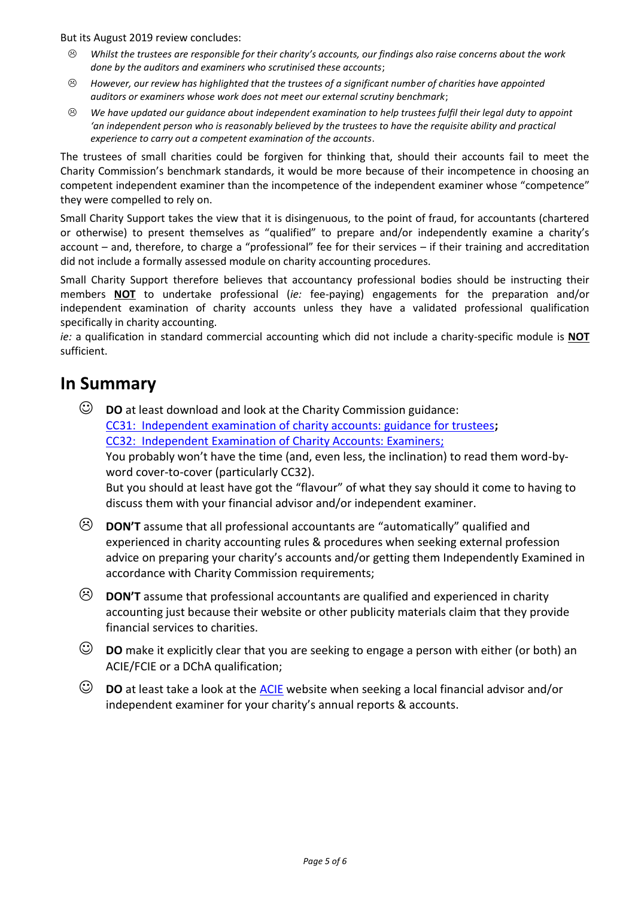But its August 2019 review concludes:

- *Whilst the trustees are responsible for their charity's accounts, our findings also raise concerns about the work done by the auditors and examiners who scrutinised these accounts*;
- *However, our review has highlighted that the trustees of a significant number of charities have appointed auditors or examiners whose work does not meet our external scrutiny benchmark*;
- *We have updated our guidance about independent examination to help trustees fulfil their legal duty to appoint*  'an independent person who is reasonably believed by the trustees to have the requisite ability and practical *experience to carry out a competent examination of the accounts*.

The trustees of small charities could be forgiven for thinking that, should their accounts fail to meet the Charity Commission's benchmark standards, it would be more because of their incompetence in choosing an competent independent examiner than the incompetence of the independent examiner whose "competence" they were compelled to rely on.

Small Charity Support takes the view that it is disingenuous, to the point of fraud, for accountants (chartered or otherwise) to present themselves as "qualified" to prepare and/or independently examine a charity's account – and, therefore, to charge a "professional" fee for their services – if their training and accreditation did not include a formally assessed module on charity accounting procedures.

Small Charity Support therefore believes that accountancy professional bodies should be instructing their members **NOT** to undertake professional (*ie:* fee-paying) engagements for the preparation and/or independent examination of charity accounts unless they have a validated professional qualification specifically in charity accounting.

*ie:* a qualification in standard commercial accounting which did not include a charity-specific module is **NOT** sufficient.

#### **In Summary**

☺ **DO** at least download and look at the Charity Commission guidance: [CC31: Independent examination of charity accounts: guidance for trustees](https://www.gov.uk/government/publications/independent-examination-of-charity-accounts-trustees-cc31/independent-examination-of-charity-accounts-trustees)**;** [CC32: Independent Examination of Charity Accounts: Examiners;](https://www.gov.uk/government/publications/independent-examination-of-charity-accounts-trustees-cc31/independent-examination-of-charity-accounts-trustees) You probably won't have the time (and, even less, the inclination) to read them word-byword cover-to-cover (particularly CC32).

But you should at least have got the "flavour" of what they say should it come to having to discuss them with your financial advisor and/or independent examiner.

- **DON'T** assume that all professional accountants are "automatically" qualified and experienced in charity accounting rules & procedures when seeking external profession advice on preparing your charity's accounts and/or getting them Independently Examined in accordance with Charity Commission requirements;
- **DON'T** assume that professional accountants are qualified and experienced in charity accounting just because their website or other publicity materials claim that they provide financial services to charities.
- ☺ **DO** make it explicitly clear that you are seeking to engage a person with either (or both) an ACIE/FCIE or a DChA qualification;
- ☺ **DO** at least take a look at the [ACIE](https://acie.org.uk/find) website when seeking a local financial advisor and/or independent examiner for your charity's annual reports & accounts.